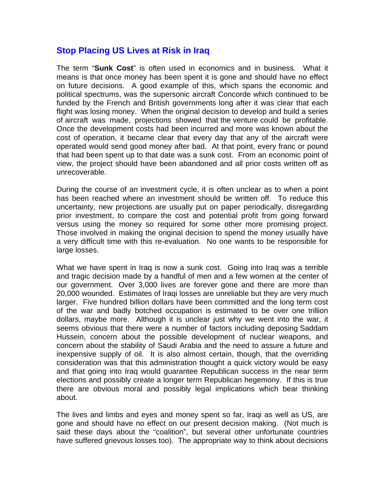## **Stop Placing US Lives at Risk in Iraq**

The term "**Sunk Cost**" is often used in economics and in business. What it means is that once money has been spent it is gone and should have no effect on future decisions. A good example of this, which spans the economic and political spectrums, was the supersonic aircraft Concorde which continued to be funded by the French and British governments long after it was clear that each flight was losing money. When the original decision to develop and build a series of aircraft was made, projections showed that the venture could be profitable. Once the development costs had been incurred and more was known about the cost of operation, it became clear that every day that any of the aircraft were operated would send good money after bad. At that point, every franc or pound that had been spent up to that date was a sunk cost. From an economic point of view, the project should have been abandoned and all prior costs written off as unrecoverable.

During the course of an investment cycle, it is often unclear as to when a point has been reached where an investment should be written off. To reduce this uncertainty, new projections are usually put on paper periodically, disregarding prior investment, to compare the cost and potential profit from going forward versus using the money so required for some other more promising project. Those involved in making the original decision to spend the money usually have a very difficult time with this re-evaluation. No one wants to be responsible for large losses.

What we have spent in Iraq is now a sunk cost. Going into Iraq was a terrible and tragic decision made by a handful of men and a few women at the center of our government. Over 3,000 lives are forever gone and there are more than 20,000 wounded. Estimates of Iraqi losses are unreliable but they are very much larger. Five hundred billion dollars have been committed and the long term cost of the war and badly botched occupation is estimated to be over one trillion dollars, maybe more. Although it is unclear just why we went into the war, it seems obvious that there were a number of factors including deposing Saddam Hussein, concern about the possible development of nuclear weapons, and concern about the stability of Saudi Arabia and the need to assure a future and inexpensive supply of oil. It is also almost certain, though, that the overriding consideration was that this administration thought a quick victory would be easy and that going into Iraq would guarantee Republican success in the near term elections and possibly create a longer term Republican hegemony. If this is true there are obvious moral and possibly legal implications which bear thinking about.

The lives and limbs and eyes and money spent so far, Iraqi as well as US, are gone and should have no effect on our present decision making. (Not much is said these days about the "coalition", but several other unfortunate countries have suffered grievous losses too). The appropriate way to think about decisions